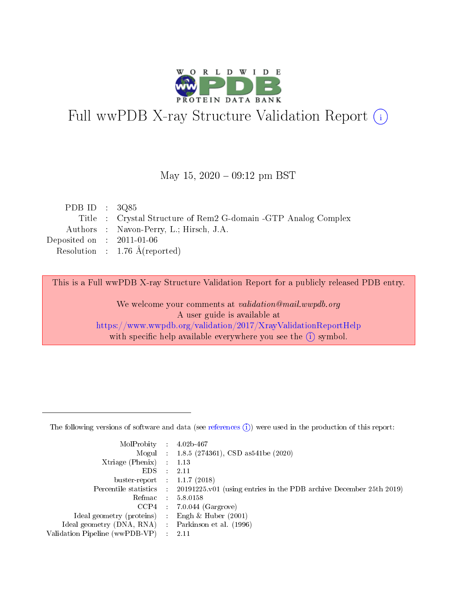

# Full wwPDB X-ray Structure Validation Report (i)

#### May 15,  $2020 - 09:12$  pm BST

| PDB ID : $3Q85$             |                                                                |
|-----------------------------|----------------------------------------------------------------|
|                             | Title : Crystal Structure of Rem2 G-domain -GTP Analog Complex |
|                             | Authors : Navon-Perry, L.; Hirsch, J.A.                        |
| Deposited on : $2011-01-06$ |                                                                |
|                             | Resolution : $1.76 \text{ Å}$ (reported)                       |
|                             |                                                                |

This is a Full wwPDB X-ray Structure Validation Report for a publicly released PDB entry.

We welcome your comments at validation@mail.wwpdb.org A user guide is available at <https://www.wwpdb.org/validation/2017/XrayValidationReportHelp> with specific help available everywhere you see the  $(i)$  symbol.

The following versions of software and data (see [references](https://www.wwpdb.org/validation/2017/XrayValidationReportHelp#references)  $(1)$ ) were used in the production of this report:

| $MolProbability$ 4.02b-467                          |               |                                                                                            |
|-----------------------------------------------------|---------------|--------------------------------------------------------------------------------------------|
|                                                     |               | Mogul : 1.8.5 (274361), CSD as 541be (2020)                                                |
| $Xtriangle (Phenix)$ : 1.13                         |               |                                                                                            |
| EDS -                                               | $\mathcal{L}$ | 2.11                                                                                       |
| buster-report : $1.1.7(2018)$                       |               |                                                                                            |
|                                                     |               | Percentile statistics : 20191225.v01 (using entries in the PDB archive December 25th 2019) |
| Refmac $5.8.0158$                                   |               |                                                                                            |
|                                                     |               | $CCP4$ : 7.0.044 (Gargrove)                                                                |
| Ideal geometry (proteins) :                         |               | Engh $\&$ Huber (2001)                                                                     |
| Ideal geometry (DNA, RNA) : Parkinson et al. (1996) |               |                                                                                            |
| Validation Pipeline (wwPDB-VP) : 2.11               |               |                                                                                            |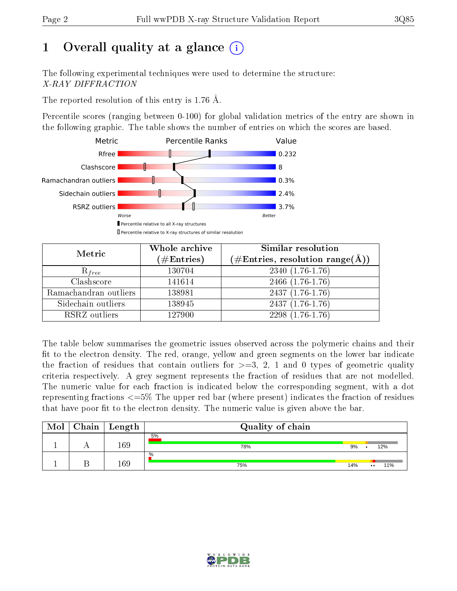# 1 [O](https://www.wwpdb.org/validation/2017/XrayValidationReportHelp#overall_quality)verall quality at a glance  $(i)$

The following experimental techniques were used to determine the structure: X-RAY DIFFRACTION

The reported resolution of this entry is 1.76 Å.

Percentile scores (ranging between 0-100) for global validation metrics of the entry are shown in the following graphic. The table shows the number of entries on which the scores are based.



| Metric                | Whole archive<br>$(\#\text{Entries})$ | Similar resolution<br>(#Entries, resolution range( $\AA$ )) |
|-----------------------|---------------------------------------|-------------------------------------------------------------|
| $R_{free}$            | 130704                                | $2340(1.76-1.76)$                                           |
| Clashscore            | 141614                                | 2466 (1.76-1.76)                                            |
| Ramachandran outliers | 138981                                | $2437(1.76-1.76)$                                           |
| Sidechain outliers    | 138945                                | $2437(1.76-1.76)$                                           |
| RSRZ outliers         | 127900                                | $2298(1.76-1.76)$                                           |

The table below summarises the geometric issues observed across the polymeric chains and their fit to the electron density. The red, orange, yellow and green segments on the lower bar indicate the fraction of residues that contain outliers for  $>=3, 2, 1$  and 0 types of geometric quality criteria respectively. A grey segment represents the fraction of residues that are not modelled. The numeric value for each fraction is indicated below the corresponding segment, with a dot representing fractions  $\epsilon=5\%$  The upper red bar (where present) indicates the fraction of residues that have poor fit to the electron density. The numeric value is given above the bar.

| Mol | $C$ hain   Length | Quality of chain |     |                  |     |
|-----|-------------------|------------------|-----|------------------|-----|
|     | 169               | 5%<br>78%        | 9%  |                  | 12% |
|     | 169               | $\%$<br>75%      | 14% | $\bullet\bullet$ | 11% |

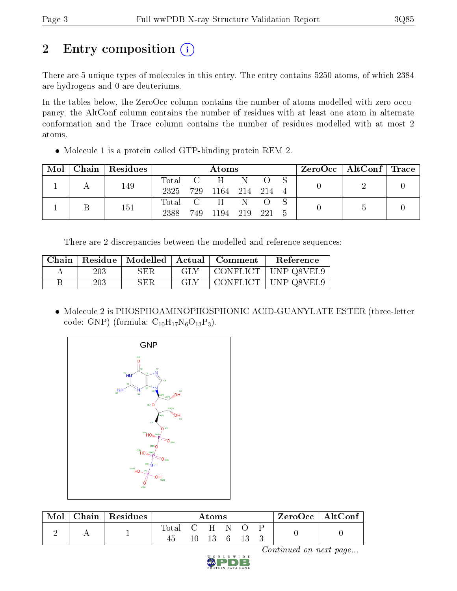# 2 Entry composition (i)

There are 5 unique types of molecules in this entry. The entry contains 5250 atoms, of which 2384 are hydrogens and 0 are deuteriums.

In the tables below, the ZeroOcc column contains the number of atoms modelled with zero occupancy, the AltConf column contains the number of residues with at least one atom in alternate conformation and the Trace column contains the number of residues modelled with at most 2 atoms.

Molecule 1 is a protein called GTP-binding protein REM 2.

|  |  | $\text{Mol}$   Chain   Residues |                         | Atoms           |             |  | ZeroOcc   AltConf   Trace |  |
|--|--|---------------------------------|-------------------------|-----------------|-------------|--|---------------------------|--|
|  |  | 149                             |                         | Total C H N O S |             |  |                           |  |
|  |  |                                 | 2325 729 1164 214 214 4 |                 |             |  |                           |  |
|  |  | 151                             |                         | Total C H N     | $\bullet$ O |  |                           |  |
|  |  | 2388                            | 749 1194 219 221        |                 |             |  |                           |  |

There are 2 discrepancies between the modelled and reference sequences:

| Chain |     |     |            | Residue   Modelled   Actual   Comment | <b>Reference</b>      |
|-------|-----|-----|------------|---------------------------------------|-----------------------|
|       | 203 | SER | <b>GLY</b> |                                       | CONFLICT   UNP Q8VEL9 |
|       | 203 | SER | GLY        |                                       | CONFLICT   UNP Q8VEL9 |

 Molecule 2 is PHOSPHOAMINOPHOSPHONIC ACID-GUANYLATE ESTER (three-letter code: GNP) (formula:  $C_{10}H_{17}N_6O_{13}P_3$ ).



| Mol | Chain Residues |                   | Atoms                          |  | $ZeroOcc \   \ AltConf$ |  |
|-----|----------------|-------------------|--------------------------------|--|-------------------------|--|
|     |                | Total C H N<br>45 | $10 \quad 13 \quad 6 \quad 13$ |  |                         |  |

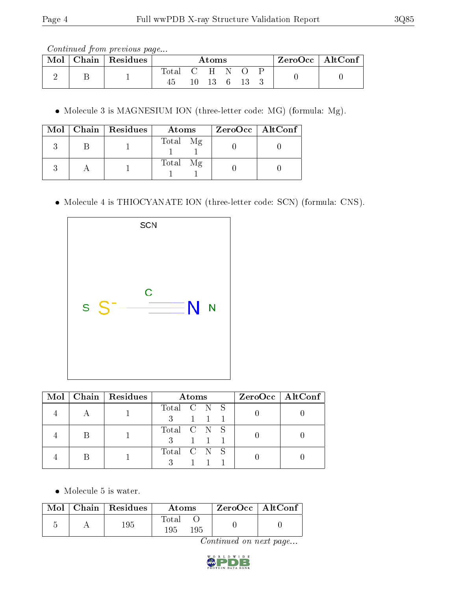Continued from previous page...

| Mol | Chain   Residues |       |      | Atoms         |      | $ZeroOcc   AltConf \rangle$ |  |
|-----|------------------|-------|------|---------------|------|-----------------------------|--|
|     |                  | Total | CHN. | $10 \quad 13$ | 6 13 |                             |  |

Molecule 3 is MAGNESIUM ION (three-letter code: MG) (formula: Mg).

|  | Mol   Chain   Residues | Atoms    | $ZeroOcc \   \$ AltConf |
|--|------------------------|----------|-------------------------|
|  |                        | Total Mg |                         |
|  |                        | Total Mg |                         |

Molecule 4 is THIOCYANATE ION (three-letter code: SCN) (formula: CNS).



| Mol | Chain   Residues | Atoms                                                   | $ZeroOcc \   \ AltConf \  $ |
|-----|------------------|---------------------------------------------------------|-----------------------------|
|     |                  | Total C N S<br>$\begin{array}{ccc} & 1 & 1 \end{array}$ |                             |
|     |                  | Total C N S<br>$1 \quad 1$                              |                             |
|     |                  | Total C N S                                             |                             |

• Molecule 5 is water.

|  | $\text{Mol}$   Chain   Residues | Atoms               | $\vert$ ZeroOcc $\vert$ AltConf $\vert$ |  |
|--|---------------------------------|---------------------|-----------------------------------------|--|
|  | 195                             | Total<br>195<br>195 |                                         |  |

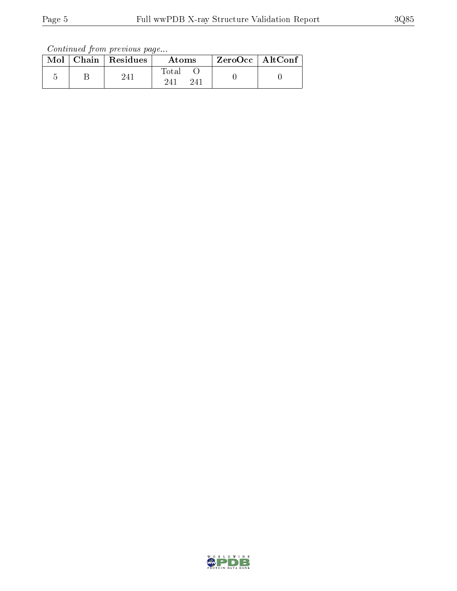Continued from previous page...

|  | Mol   Chain   Residues | Atoms                | $ZeroOcc$   AltConf |  |
|--|------------------------|----------------------|---------------------|--|
|  | 241                    | Total<br>241<br>-241 |                     |  |

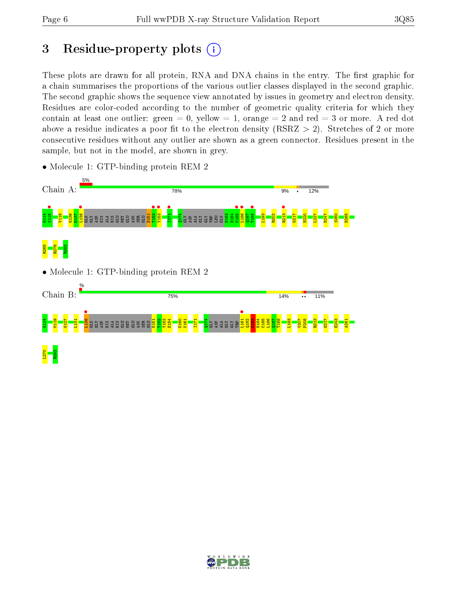# 3 Residue-property plots  $(i)$

These plots are drawn for all protein, RNA and DNA chains in the entry. The first graphic for a chain summarises the proportions of the various outlier classes displayed in the second graphic. The second graphic shows the sequence view annotated by issues in geometry and electron density. Residues are color-coded according to the number of geometric quality criteria for which they contain at least one outlier: green  $= 0$ , yellow  $= 1$ , orange  $= 2$  and red  $= 3$  or more. A red dot above a residue indicates a poor fit to the electron density (RSRZ  $> 2$ ). Stretches of 2 or more consecutive residues without any outlier are shown as a green connector. Residues present in the sample, but not in the model, are shown in grey.



• Molecule 1: GTP-binding protein REM 2

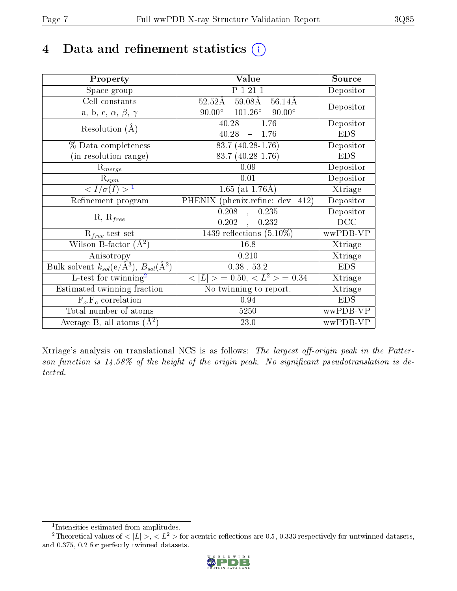# 4 Data and refinement statistics  $(i)$

| Property                                                             | Value                                                               | Source                       |
|----------------------------------------------------------------------|---------------------------------------------------------------------|------------------------------|
| Space group                                                          | P 1 21 1                                                            | Depositor                    |
| Cell constants                                                       | $59.08\text{\AA}$ $56.\overline{14\text{\AA}}$<br>$52.52\text{\AA}$ | Depositor                    |
| a, b, c, $\alpha$ , $\beta$ , $\gamma$                               | $90.00^{\circ}$ $101.26^{\circ}$ $90.00^{\circ}$                    |                              |
| Resolution $(A)$                                                     | 40.28<br>$-1.76$                                                    | Depositor                    |
|                                                                      | $40.28 - 1.76$                                                      | <b>EDS</b>                   |
| % Data completeness                                                  | $83.7(40.28-1.76)$                                                  | Depositor                    |
| (in resolution range)                                                | 83.7 (40.28-1.76)                                                   | <b>EDS</b>                   |
| $R_{merge}$                                                          | 0.09                                                                | Depositor                    |
| $\mathrm{R}_{sym}$                                                   | 0.01                                                                | Depositor                    |
| $\sqrt{I/\sigma(I)} > 1$                                             | 1.65 (at $1.76\text{\AA}$ )                                         | Xtriage                      |
| Refinement program                                                   | PHENIX (phenix.refine: dev 412)                                     | Depositor                    |
|                                                                      | $0.208$ ,<br>0.235                                                  | Depositor                    |
| $R, R_{free}$                                                        | 0.202<br>0.232                                                      | DCC                          |
| $R_{free}$ test set                                                  | 1439 reflections $(5.10\%)$                                         | wwPDB-VP                     |
| Wilson B-factor $(A^2)$                                              | 16.8                                                                | Xtriage                      |
| Anisotropy                                                           | 0.210                                                               | Xtriage                      |
| Bulk solvent $k_{sol}(e/\mathring{A}^3)$ , $B_{sol}(\mathring{A}^2)$ | $0.38$ , 53.2                                                       | <b>EDS</b>                   |
| L-test for $\mathrm{twinning}^2$                                     | $< L >$ = 0.50, $< L2$ > = 0.34                                     | $\overline{\text{X}}$ triage |
| Estimated twinning fraction                                          | No twinning to report.                                              | Xtriage                      |
| $F_o, F_c$ correlation                                               | 0.94                                                                | <b>EDS</b>                   |
| Total number of atoms                                                | 5250                                                                | wwPDB-VP                     |
| Average B, all atoms $(A^2)$                                         | 23.0                                                                | wwPDB-VP                     |

Xtriage's analysis on translational NCS is as follows: The largest off-origin peak in the Patterson function is  $14.58\%$  of the height of the origin peak. No significant pseudotranslation is detected.

<sup>&</sup>lt;sup>2</sup>Theoretical values of  $\langle |L| \rangle$ ,  $\langle L^2 \rangle$  for acentric reflections are 0.5, 0.333 respectively for untwinned datasets, and 0.375, 0.2 for perfectly twinned datasets.



<span id="page-6-1"></span><span id="page-6-0"></span><sup>1</sup> Intensities estimated from amplitudes.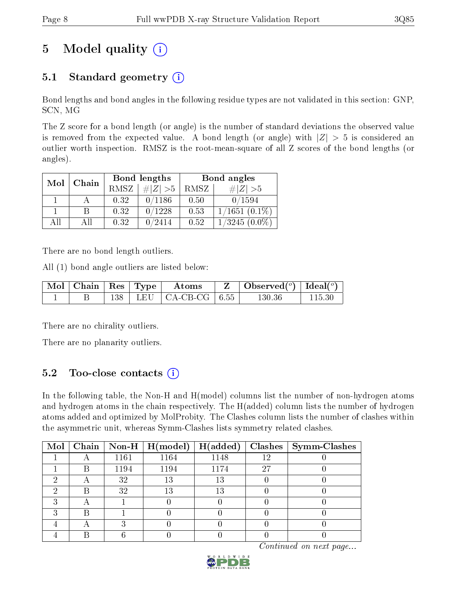# 5 Model quality  $(i)$

# 5.1 Standard geometry  $(i)$

Bond lengths and bond angles in the following residue types are not validated in this section: GNP, SCN, MG

The Z score for a bond length (or angle) is the number of standard deviations the observed value is removed from the expected value. A bond length (or angle) with  $|Z| > 5$  is considered an outlier worth inspection. RMSZ is the root-mean-square of all Z scores of the bond lengths (or angles).

| Mol | Chain | Bond lengths |             | Bond angles |                 |
|-----|-------|--------------|-------------|-------------|-----------------|
|     |       | <b>RMSZ</b>  | # $ Z  > 5$ | RMSZ        | # $ Z  > 5$     |
|     |       | 0.32         | 0/1186      | 0.50        | 0/1594          |
|     |       | 0.32         | 0/1228      | 0.53        | $1/1651(0.1\%)$ |
| ΔH  | ΑH    | 0.32         | 0/2414      | 0.52        | $1/3245(0.0\%)$ |

There are no bond length outliers.

All (1) bond angle outliers are listed below:

|  |  | $\vert$ Mol $\vert$ Chain $\vert$ Res $\vert$ Type $\vert$ Atoms | $\vert$ Observed $(^\circ)$ $\vert$ Ideal $(^\circ)$ |        |
|--|--|------------------------------------------------------------------|------------------------------------------------------|--------|
|  |  | 138   LEU   CA-CB-CG   $6.55$                                    | 130.36                                               | 115.30 |

There are no chirality outliers.

There are no planarity outliers.

### 5.2 Too-close contacts  $(i)$

In the following table, the Non-H and H(model) columns list the number of non-hydrogen atoms and hydrogen atoms in the chain respectively. The H(added) column lists the number of hydrogen atoms added and optimized by MolProbity. The Clashes column lists the number of clashes within the asymmetric unit, whereas Symm-Clashes lists symmetry related clashes.

| Mol |   |      | $\vert$ Chain $\vert$ Non-H $\vert$ H(model) | H(added) |    | $Clashes$   Symm-Clashes |
|-----|---|------|----------------------------------------------|----------|----|--------------------------|
|     | ⌒ | 1161 | 1164                                         | 1148     | 12 |                          |
|     |   | 1194 | 1194                                         | 1174     | 27 |                          |
|     |   | 32   | 13                                           | 13       |    |                          |
|     |   | 32   | 13                                           | 13       |    |                          |
|     |   |      |                                              |          |    |                          |
|     | Β |      |                                              |          |    |                          |
|     |   |      |                                              |          |    |                          |
|     |   |      |                                              |          |    |                          |

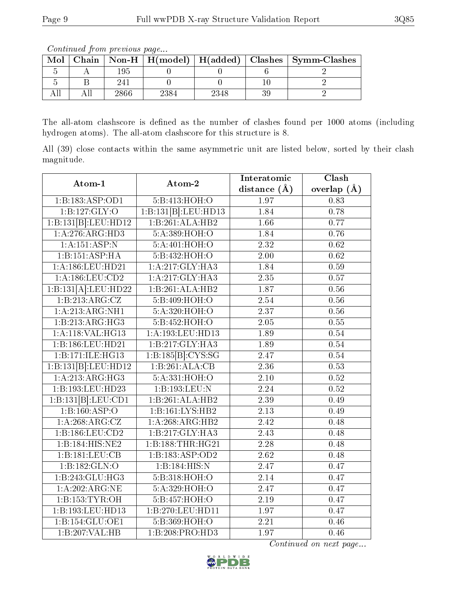Continued from previous page...

| $\operatorname{Mol}$ |      |      | Chain   Non-H   $H(model)$   $H(added)$   Clashes   Symm-Clashes |
|----------------------|------|------|------------------------------------------------------------------|
|                      |      |      |                                                                  |
|                      |      |      |                                                                  |
|                      | 2866 | 2348 |                                                                  |

The all-atom clashscore is defined as the number of clashes found per 1000 atoms (including hydrogen atoms). The all-atom clashscore for this structure is 8.

All (39) close contacts within the same asymmetric unit are listed below, sorted by their clash magnitude.

| Atom-1              | Atom-2                                    | Interatomic       | Clash         |
|---------------------|-------------------------------------------|-------------------|---------------|
|                     |                                           | distance $(A)$    | overlap $(A)$ |
| 1:B:183:ASP:OD1     | 5:B:413:HOH:O                             | 1.97              | 0.83          |
| 1: B: 127: GLY: O   | $1:B:131[B]:\overline{LEU:HD}13$          | 1.84              | 0.78          |
| 1:B:131[B]:LEU:HD12 | 1:B:261:ALA:HB2                           | 1.66              | 0.77          |
| 1:A:276:ARG:HD3     | 5:A:389:HOH:O                             | 1.84              | 0.76          |
| 1: A: 151: ASP: N   | 5:A:401:HOH:O                             | 2.32              | 0.62          |
| 1:B:151:ASP:HA      | 5:B:432:HOH:O                             | 2.00              | 0.62          |
| 1:A:186:LEU:HD21    | 1:A:217:GLY:HA3                           | 1.84              | 0.59          |
| 1:A:186:LEU:CD2     | 1:A:217:GLY:HA3                           | 2.35              | 0.57          |
| 1:B:131[A].LEU:HD22 | 1:B:261:ALA:HB2                           | 1.87              | 0.56          |
| 1:B:213:ARG:CZ      | 5:B:409:HOH:O                             | 2.54              | 0.56          |
| 1: A:213: ARG:NH1   | 5:A:320:HOH:O                             | 2.37              | $0.56\,$      |
| 1:B:213:ARG:HG3     | 5:B:452:HOH:O                             | 2.05              | 0.55          |
| 1:A:118:VAL:HG13    | 1:A:193:LEU:HD13                          | 1.89              | 0.54          |
| 1:B:186:LEU:HD21    | 1:B:217:GLY:HA3                           | 1.89              | 0.54          |
| 1:B:171:ILE:HG13    | $1:B:185[\overline{B}]\overline{:CYS:SG}$ | 2.47              | 0.54          |
| 1:B:131[B]:LEU:HD12 | 1:B:261:ALA:CB                            | 2.36              | 0.53          |
| 1:A:213:ARG:HG3     | 5:A:331:HOH:O                             | 2.10              | 0.52          |
| 1:B:193:LEU:HD23    | 1:B:193:LEU:N                             | 2.24              | 0.52          |
| 1:B:131[B]:LEU:CD1  | 1:B:261:ALA:HB2                           | 2.39              | 0.49          |
| 1:B:160:ASP:O       | 1:B:161:LYS:HB2                           | 2.13              | 0.49          |
| 1:A:268:ARG:CZ      | 1:A:268:ARG:HB2                           | $\overline{2.42}$ | 0.48          |
| 1: B: 186: LEU: CD2 | 1:B:217:GLY:HA3                           | 2.43              | 0.48          |
| 1:B:184:HIS:NE2     | 1:B:188:THR:HG21                          | 2.28              | 0.48          |
| 1:B:181:LEU:CB      | 1:B:183:ASP:OD2                           | $\overline{2.62}$ | 0.48          |
| 1:B:182:GLN:O       | 1:B:184:HIS:N                             | 2.47              | 0.47          |
| 1:B:243:GLU:HG3     | 5:B:318:HOH:O                             | 2.14              | 0.47          |
| 1:A:202:ARG:NE      | 5:A:329:HOH:O                             | 2.47              | 0.47          |
| 1:B:153:TYR:OH      | 5:B:457:HOH:O                             | $\overline{2.19}$ | 0.47          |
| 1:B:193:LEU:HD13    | 1:B:270:LEU:HD11                          | 1.97              | 0.47          |
| 1:B:154:GLU:OE1     | 5:B:369:HOH:O                             | 2.21              | 0.46          |
| 1:B:207:VAL:HB      | 1:B:208:PRO:HD3                           | $\overline{1.97}$ | 0.46          |

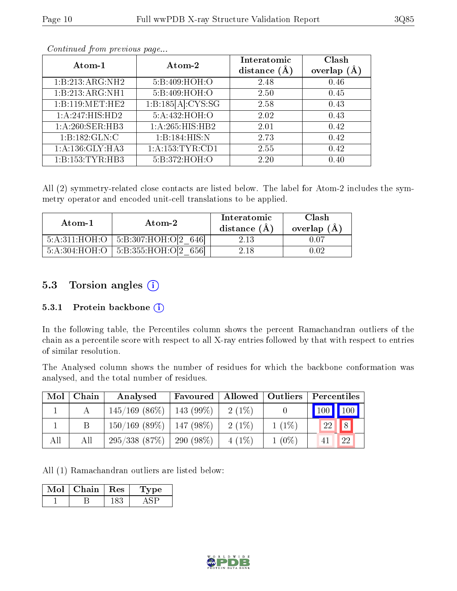|--|

| Atom-1              | Atom-2            | Interatomic<br>distance $(A)$ | Clash<br>overlap<br>(A) |
|---------------------|-------------------|-------------------------------|-------------------------|
| 1:B:213:ARG:NH2     | 5:B:409:HOH:O     | 2.48                          | 0.46                    |
| 1:B:213:ARG:NH1     | 5:B:409:HOH:O     | 2.50                          | 0.45                    |
| 1:B:119:MET:HE2     | 1:B:185[A]:CYS:SG | 2.58                          | 0.43                    |
| 1:A:247:HIS:HD2     | 5:A:432:HOH:O     | 2.02                          | 0.43                    |
| 1:A:260:SER:HB3     | 1:A:265:HIS:HB2   | 2.01                          | 0.42                    |
| 1:B:182:GLN:C       | 1:B:184:HIS:N     | 2.73                          | 0.42                    |
| 1: A: 136: GLY: HA3 | 1:A:153:TYR:CD1   | 2.55                          | 0.42                    |
| 1:B:153:TYR:HB3     | 5:B:372:HOH:O     | 2.20                          | 0.40                    |

Continued from previous page...

All (2) symmetry-related close contacts are listed below. The label for Atom-2 includes the symmetry operator and encoded unit-cell translations to be applied.

| Atom-1 | Atom-2                                   | Interatomic<br>distance $(A)$ | Clash<br>overlap $(A)$ |
|--------|------------------------------------------|-------------------------------|------------------------|
|        | $5:A:311:HOH:O$   5:B:307:HOH:O[2 646]   | 2.13                          |                        |
|        | $5:A:304:HOH:O$   $5:B:355:HOH:O[2 656]$ | 2.18                          | ) 02                   |

### 5.3 Torsion angles (i)

#### 5.3.1 Protein backbone (i)

In the following table, the Percentiles column shows the percent Ramachandran outliers of the chain as a percentile score with respect to all X-ray entries followed by that with respect to entries of similar resolution.

The Analysed column shows the number of residues for which the backbone conformation was analysed, and the total number of residues.

| Mol | Chain | Analysed         | Favoured    | <b>Allowed</b> | Outliers | Percentiles         |             |
|-----|-------|------------------|-------------|----------------|----------|---------------------|-------------|
|     |       | $145/169$ (86\%) | $143(99\%)$ | $2(1\%)$       |          | $\vert$ 100 $\vert$ | $\vert$ 100 |
|     |       | $150/169$ (89\%) | $147(98\%)$ | $2(1\%)$       | $1(1\%)$ | 22                  | 8           |
| All | All   | 295/338(87%)     | $290(98\%)$ | $4(1\%)$       | $1(0\%)$ |                     | 22          |

All (1) Ramachandran outliers are listed below:

| Mol | Chain | Res | vpe |
|-----|-------|-----|-----|
|     |       |     |     |

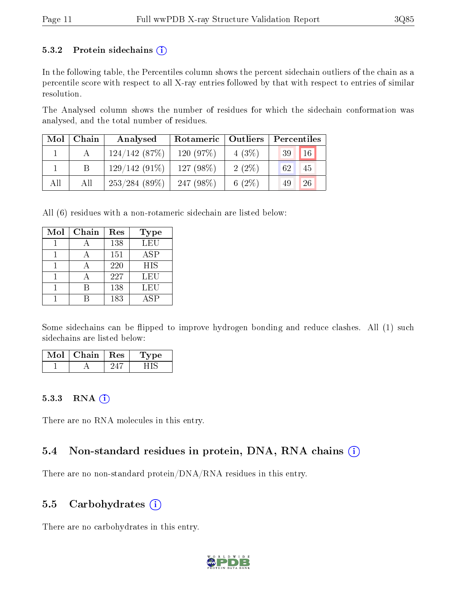#### 5.3.2 Protein sidechains  $(i)$

In the following table, the Percentiles column shows the percent sidechain outliers of the chain as a percentile score with respect to all X-ray entries followed by that with respect to entries of similar resolution.

The Analysed column shows the number of residues for which the sidechain conformation was analysed, and the total number of residues.

| Mol | Chain | Analysed        | Rotameric   Outliers |          | Percentiles |
|-----|-------|-----------------|----------------------|----------|-------------|
|     |       | 124/142(87%)    | 120(97%)             | $4(3\%)$ | 16<br>39    |
|     |       | $129/142(91\%)$ | 127 $(98\%)$         | $2(2\%)$ | 62<br>45    |
| All | All   | 253/284(89%)    | 247 $(98\%)$         | 6 $(2%)$ | 26<br>49    |

All (6) residues with a non-rotameric sidechain are listed below:

| Mol | Chain | Res | Type       |
|-----|-------|-----|------------|
|     |       | 138 | LEU        |
|     |       | 151 | ASP        |
|     |       | 220 | <b>HIS</b> |
|     |       | 227 | LEU        |
|     |       | 138 | LEU        |
|     |       | 183 | A SP       |

Some sidechains can be flipped to improve hydrogen bonding and reduce clashes. All (1) such sidechains are listed below:

| $\mathbf{I}$ ol | Chain | $\operatorname{Res}% \left( \mathcal{N}\right) \equiv\operatorname{Res}(\mathcal{N}_{0},\mathcal{N}_{0})$ | pе<br><b>д</b> у |
|-----------------|-------|-----------------------------------------------------------------------------------------------------------|------------------|
|                 |       |                                                                                                           |                  |

#### 5.3.3 RNA (i)

There are no RNA molecules in this entry.

### 5.4 Non-standard residues in protein, DNA, RNA chains  $(i)$

There are no non-standard protein/DNA/RNA residues in this entry.

### 5.5 Carbohydrates  $(i)$

There are no carbohydrates in this entry.

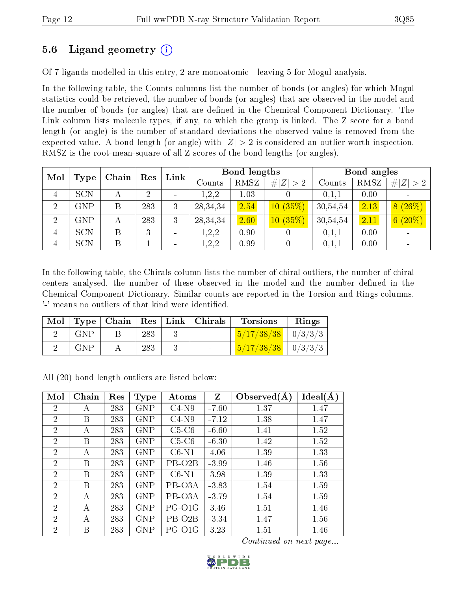### 5.6 Ligand geometry (i)

Of 7 ligands modelled in this entry, 2 are monoatomic - leaving 5 for Mogul analysis.

In the following table, the Counts columns list the number of bonds (or angles) for which Mogul statistics could be retrieved, the number of bonds (or angles) that are observed in the model and the number of bonds (or angles) that are dened in the Chemical Component Dictionary. The Link column lists molecule types, if any, to which the group is linked. The Z score for a bond length (or angle) is the number of standard deviations the observed value is removed from the expected value. A bond length (or angle) with  $|Z| > 2$  is considered an outlier worth inspection. RMSZ is the root-mean-square of all Z scores of the bond lengths (or angles).

| Mol            |             |       | Res | Link                     |            | <b>Bond lengths</b> |             |          | Bond angles |             |  |
|----------------|-------------|-------|-----|--------------------------|------------|---------------------|-------------|----------|-------------|-------------|--|
|                | <b>Type</b> | Chain |     |                          | Counts     | RMSZ                | # $ Z  > 2$ | Counts   | RMSZ        | # $ Z  > 2$ |  |
| 4              | <b>SCN</b>  | А     | 2   | $\overline{\phantom{0}}$ | 1,2,2      | 1.03                |             | 0,1,1    | 0.00        |             |  |
| $\overline{2}$ | GNP         | B     | 283 | 3                        | 28, 34, 34 | 2.54                | 10(35%)     | 30,54,54 | 2.13        | 8(26%)      |  |
| 2              | <b>GNP</b>  | А     | 283 | 3                        | 28, 34, 34 | 2.60                | 10(35%)     | 30,54,54 | 2.11        | $6(20\%)$   |  |
| 4              | <b>SCN</b>  | Β     | 3   | $\qquad \qquad$          | 1,2,2      | 0.90                |             | 0,1,1    | 0.00        |             |  |
| 4              | <b>SCN</b>  | B     |     | $\qquad \qquad$          | 1,2,2      | 0.99                |             | 0,1,1    | 0.00        |             |  |

In the following table, the Chirals column lists the number of chiral outliers, the number of chiral centers analysed, the number of these observed in the model and the number defined in the Chemical Component Dictionary. Similar counts are reported in the Torsion and Rings columns. '-' means no outliers of that kind were identified.

| Mol |            |     | Type   Chain   Res   Link   Chirals | <b>Torsions</b>                | Rings |
|-----|------------|-----|-------------------------------------|--------------------------------|-------|
|     | <b>GNP</b> | 283 |                                     | $\frac{5}{17/38/38}$   0/3/3/3 |       |
|     | <b>GNP</b> | 283 |                                     | $\frac{5}{17/38/38}$   0/3/3/3 |       |

All (20) bond length outliers are listed below:

| Mol            | Chain | Res | <b>Type</b> | Atoms               | Z       | Observed $(A)$ | Ideal(A) |
|----------------|-------|-----|-------------|---------------------|---------|----------------|----------|
| $\overline{2}$ | А     | 283 | <b>GNP</b>  | $C4-N9$             | $-7.60$ | 1.37           | 1.47     |
| $\overline{2}$ | B     | 283 | <b>GNP</b>  | $C4-N9$             | $-7.12$ | 1.38           | 1.47     |
| $\overline{2}$ | А     | 283 | <b>GNP</b>  | $C5-C6$             | $-6.60$ | 1.41           | 1.52     |
| 2              | B     | 283 | <b>GNP</b>  | $C5-C6$             | $-6.30$ | 1.42           | 1.52     |
| $\overline{2}$ | А     | 283 | <b>GNP</b>  | $C6-N1$             | 4.06    | 1.39           | 1.33     |
| $\overline{2}$ | B     | 283 | <b>GNP</b>  | PB-O <sub>2</sub> B | $-3.99$ | 1.46           | 1.56     |
| $\overline{2}$ | B     | 283 | <b>GNP</b>  | $C6-N1$             | 3.98    | 1.39           | 1.33     |
| $\overline{2}$ | B     | 283 | <b>GNP</b>  | PB-O3A              | $-3.83$ | 1.54           | 1.59     |
| $\overline{2}$ | А     | 283 | <b>GNP</b>  | PB-O3A              | $-3.79$ | 1.54           | 1.59     |
| 2              | А     | 283 | <b>GNP</b>  | PG-O1G              | 3.46    | 1.51           | 1.46     |
| $\overline{2}$ | А     | 283 | GNP         | PB-O <sub>2</sub> B | $-3.34$ | 1.47           | 1.56     |
| $\overline{2}$ | В     | 283 | GNP         | PG-O1G              | 3.23    | 1.51           | 1.46     |

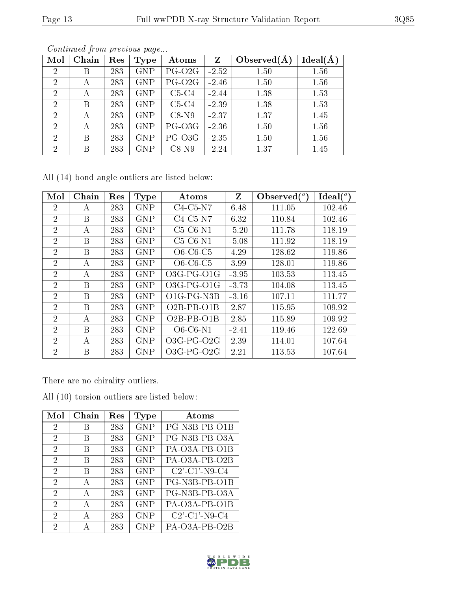|--|

| Mol            | Chain | Res | <b>Type</b> | Atoms              | Z       | Observed $(A$ | Ideal(A) |
|----------------|-------|-----|-------------|--------------------|---------|---------------|----------|
| $\overline{2}$ | В     | 283 | <b>GNP</b>  | PG-O <sub>2G</sub> | $-2.52$ | 1.50          | 1.56     |
| $\overline{2}$ | А     | 283 | <b>GNP</b>  | PG-O <sub>2G</sub> | $-2.46$ | 1.50          | 1.56     |
| $\overline{2}$ | А     | 283 | <b>GNP</b>  | $C5-C4$            | $-2.44$ | 1.38          | 1.53     |
| $\overline{2}$ | В     | 283 | <b>GNP</b>  | $C5-C4$            | $-2.39$ | 1.38          | 1.53     |
| $\overline{2}$ | А     | 283 | <b>GNP</b>  | $C8-N9$            | $-2.37$ | 1.37          | 1.45     |
| $\overline{2}$ | А     | 283 | <b>GNP</b>  | PG-O3G             | $-2.36$ | 1.50          | 1.56     |
| $\overline{2}$ | В     | 283 | <b>GNP</b>  | PG-O3G             | $-2.35$ | 1.50          | 1.56     |
| $\overline{2}$ | В     | 283 | <b>GNP</b>  | $C8-N9$            | $-2.24$ | 1.37          | 1.45     |

Continued from previous page...

All (14) bond angle outliers are listed below:

| Mol            | Chain | Res | <b>Type</b> | Atoms                                          | $\mathbf{Z}$ | Observed $(°)$ | Ideal $(°)$ |
|----------------|-------|-----|-------------|------------------------------------------------|--------------|----------------|-------------|
| 2              | А     | 283 | <b>GNP</b>  | $C4-C5-N7$                                     | 6.48         | 111.05         | 102.46      |
| $\overline{2}$ | B     | 283 | <b>GNP</b>  | $C4-C5-N7$                                     | 6.32         | 110.84         | 102.46      |
| $\overline{2}$ | А     | 283 | <b>GNP</b>  | $C5-C6-N1$                                     | $-5.20$      | 111.78         | 118.19      |
| $\overline{2}$ | B     | 283 | <b>GNP</b>  | $C5-C6-N1$                                     | $-5.08$      | 111.92         | 118.19      |
| $\overline{2}$ | B     | 283 | <b>GNP</b>  | $O6-C6-C5$                                     | 4.29         | 128.62         | 119.86      |
| $\overline{2}$ | А     | 283 | <b>GNP</b>  | $O6-C6-C5$                                     | 3.99         | 128.01         | 119.86      |
| $\overline{2}$ | А     | 283 | <b>GNP</b>  | $O3G-PG-O1G$                                   | $-3.95$      | 103.53         | 113.45      |
| $\overline{2}$ | B     | 283 | <b>GNP</b>  | $O3G-PG-O1G$                                   | $-3.73$      | 104.08         | 113.45      |
| $\overline{2}$ | В     | 283 | <b>GNP</b>  | O <sub>1</sub> G-P <sub>G-N<sub>3</sub>B</sub> | $-3.16$      | 107.11         | 111.77      |
| $\overline{2}$ | В     | 283 | <b>GNP</b>  | $O2B-PB-O1B$                                   | 2.87         | 115.95         | 109.92      |
| $\overline{2}$ | А     | 283 | <b>GNP</b>  | $O2B$ PB $O1B$                                 | 2.85         | 115.89         | 109.92      |
| $\overline{2}$ | В     | 283 | <b>GNP</b>  | $O6$ - $C6$ - $N1$                             | $-2.41$      | 119.46         | 122.69      |
| $\overline{2}$ | А     | 283 | <b>GNP</b>  | $O3G-PG-O2G$                                   | 2.39         | 114.01         | 107.64      |
| $\overline{2}$ | В     | 283 | <b>GNP</b>  | $O3G$ -PG- $O2G$                               | 2.21         | 113.53         | 107.64      |

There are no chirality outliers.

All (10) torsion outliers are listed below:

| Mol            | Chain        | $\operatorname{Res}% \left( \mathcal{N}\right) \equiv\operatorname{Res}(\mathcal{N}_{0},\mathcal{N}_{0})$ | Type       | Atoms                   |
|----------------|--------------|-----------------------------------------------------------------------------------------------------------|------------|-------------------------|
| 2              | В            | 283                                                                                                       | <b>GNP</b> | PG-N3B-PB-O1B           |
| 2              | В            | 283                                                                                                       | <b>GNP</b> | PG-N3B-PB-O3A           |
| 2              | В            | 283                                                                                                       | <b>GNP</b> | PA-O3A-PB-O1B           |
| $\overline{2}$ | B            | 283                                                                                                       | <b>GNP</b> | PA-O3A-PB-O2B           |
| 2              | В            | 283                                                                                                       | <b>GNP</b> | $C2'$ - $C1'$ -N9- $C4$ |
| $\overline{2}$ | A            | 283                                                                                                       | GNP        | PG-N3B-PB-O1B           |
| 2              | А            | 283                                                                                                       | <b>GNP</b> | PG-N3B-PB-O3A           |
| $\overline{2}$ | $\mathbf{A}$ | 283                                                                                                       | GNP        | PA-O3A-PB-O1B           |
| $\overline{2}$ | А            | 283                                                                                                       | GNP        | $C2'$ - $C1'$ -N9- $C4$ |
| 2              | А            | 283                                                                                                       | <b>GNP</b> | PA-O3A-PB-O2B           |

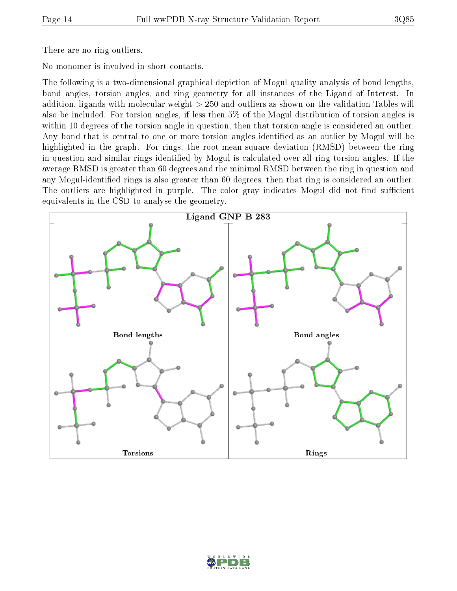There are no ring outliers.

No monomer is involved in short contacts.

The following is a two-dimensional graphical depiction of Mogul quality analysis of bond lengths, bond angles, torsion angles, and ring geometry for all instances of the Ligand of Interest. In addition, ligands with molecular weight > 250 and outliers as shown on the validation Tables will also be included. For torsion angles, if less then 5% of the Mogul distribution of torsion angles is within 10 degrees of the torsion angle in question, then that torsion angle is considered an outlier. Any bond that is central to one or more torsion angles identified as an outlier by Mogul will be highlighted in the graph. For rings, the root-mean-square deviation (RMSD) between the ring in question and similar rings identified by Mogul is calculated over all ring torsion angles. If the average RMSD is greater than 60 degrees and the minimal RMSD between the ring in question and any Mogul-identified rings is also greater than 60 degrees, then that ring is considered an outlier. The outliers are highlighted in purple. The color gray indicates Mogul did not find sufficient equivalents in the CSD to analyse the geometry.



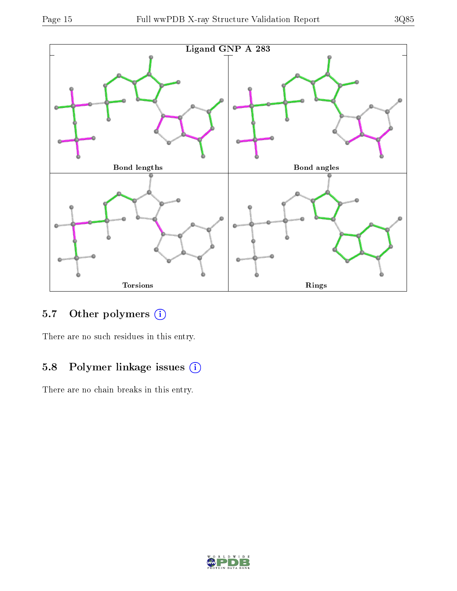



# 5.7 [O](https://www.wwpdb.org/validation/2017/XrayValidationReportHelp#nonstandard_residues_and_ligands)ther polymers (i)

There are no such residues in this entry.

# 5.8 Polymer linkage issues (i)

There are no chain breaks in this entry.

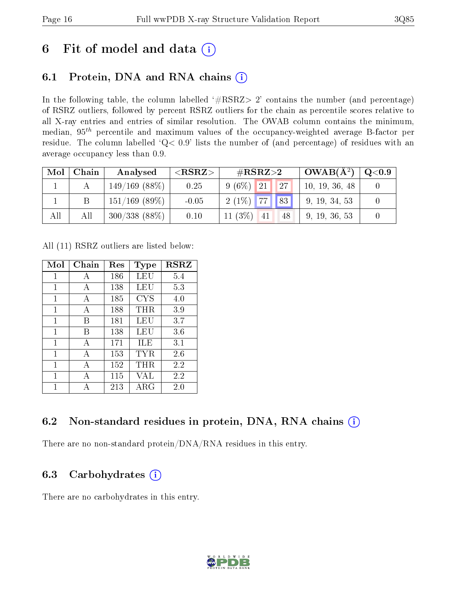# 6 Fit of model and data  $(i)$

# 6.1 Protein, DNA and RNA chains  $(i)$

In the following table, the column labelled  $#RSRZ> 2'$  contains the number (and percentage) of RSRZ outliers, followed by percent RSRZ outliers for the chain as percentile scores relative to all X-ray entries and entries of similar resolution. The OWAB column contains the minimum, median,  $95<sup>th</sup>$  percentile and maximum values of the occupancy-weighted average B-factor per residue. The column labelled ' $Q< 0.9$ ' lists the number of (and percentage) of residues with an average occupancy less than 0.9.

| Mol | Chain | Analysed         | $<$ RSRZ $>$ | # $RSRZ>2$                   | $OWAB(A^2)$    | Q <sub>0.9</sub> |
|-----|-------|------------------|--------------|------------------------------|----------------|------------------|
|     |       | $149/169$ (88%)  | 0.25         | $9(6\%)$ 21<br><sup>27</sup> | 10, 19, 36, 48 |                  |
|     | Β     | $151/169$ (89\%) | $-0.05$      | $2(1\%)$ 77 83               | 9, 19, 34, 53  |                  |
| All | All   | $300/338(88\%)$  | 0.10         | 11 $(3\%)$<br>41<br>48       | 9, 19, 36, 53  |                  |

All (11) RSRZ outliers are listed below:

| Mol | Chain | $\operatorname{Res}% \left( \mathcal{N}\right) \equiv\operatorname{Res}(\mathcal{N}_{0},\mathcal{N}_{0})$ | <b>Type</b> | <b>RSRZ</b> |
|-----|-------|-----------------------------------------------------------------------------------------------------------|-------------|-------------|
| 1   | A     | 186                                                                                                       | LEU         | 5.4         |
| 1   | A     | 138                                                                                                       | LEU         | 5.3         |
| 1   | A     | 185                                                                                                       | <b>CYS</b>  | 4.0         |
| 1   | А     | 188                                                                                                       | $\rm THR$   | 3.9         |
| 1   | В     | 181                                                                                                       | LEU         | 3.7         |
| 1   | В     | 138                                                                                                       | LEU         | 3.6         |
| 1   | A     | 171                                                                                                       | ILE         | 3.1         |
| 1   | A     | 153                                                                                                       | TYR         | 2.6         |
| 1   | А     | 152                                                                                                       | THR         | 2.2         |
| 1   | А     | 115                                                                                                       | VAL         | 2.2         |
| 1   |       | 213                                                                                                       | ${\rm ARG}$ | 2.0         |

### 6.2 Non-standard residues in protein, DNA, RNA chains (i)

There are no non-standard protein/DNA/RNA residues in this entry.

### 6.3 Carbohydrates  $(i)$

There are no carbohydrates in this entry.

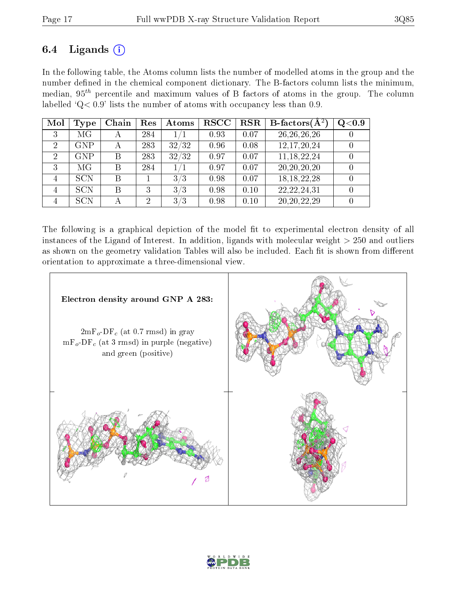### 6.4 Ligands  $(i)$

In the following table, the Atoms column lists the number of modelled atoms in the group and the number defined in the chemical component dictionary. The B-factors column lists the minimum, median,  $95<sup>th</sup>$  percentile and maximum values of B factors of atoms in the group. The column labelled ' $Q< 0.9$ ' lists the number of atoms with occupancy less than 0.9.

| Mol | <b>Type</b> | Chain | Res            | Atoms   | $_{\rm RSCC}$ | <b>RSR</b> | <b>B</b> -factors $(\overline{A^2})$ | Q <sub>0.9</sub> |
|-----|-------------|-------|----------------|---------|---------------|------------|--------------------------------------|------------------|
| 3   | MG          | А     | 284            | $1/1\,$ | 0.93          | 0.07       | 26, 26, 26, 26                       |                  |
| 2   | <b>GNP</b>  | А     | 283            | 32/32   | 0.96          | 0.08       | 12,17,20,24                          |                  |
| 2   | <b>GNP</b>  | B     | 283            | 32/32   | 0.97          | 0.07       | 11, 18, 22, 24                       |                  |
| 3   | MG          | B     | 284            | 1/1     | 0.97          | 0.07       | 20, 20, 20, 20                       |                  |
| 4   | <b>SCN</b>  | В     |                | 3/3     | 0.98          | 0.07       | 18, 18, 22, 28                       |                  |
| 4   | <b>SCN</b>  | B     | 3              | 3/3     | 0.98          | 0.10       | 22, 22, 24, 31                       |                  |
|     | <b>SCN</b>  |       | $\overline{2}$ | 3/3     | 0.98          | 0.10       | 20, 20, 22, 29                       |                  |

The following is a graphical depiction of the model fit to experimental electron density of all instances of the Ligand of Interest. In addition, ligands with molecular weight  $> 250$  and outliers as shown on the geometry validation Tables will also be included. Each fit is shown from different orientation to approximate a three-dimensional view.